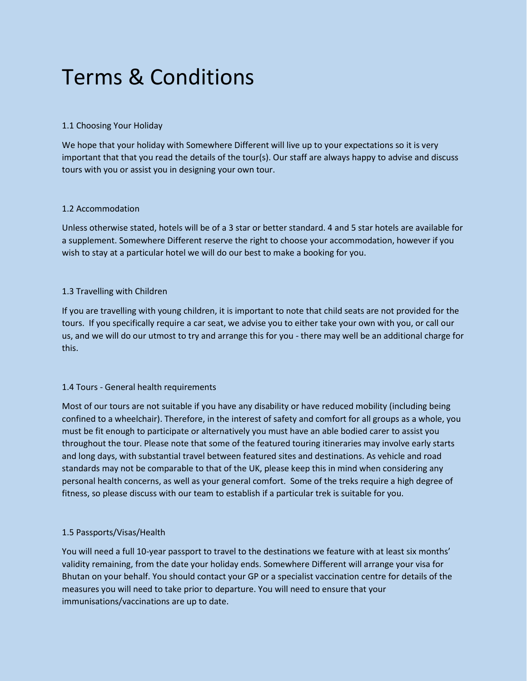# Terms & Conditions

# 1.1 Choosing Your Holiday

We hope that your holiday with Somewhere Different will live up to your expectations so it is very important that that you read the details of the tour(s). Our staff are always happy to advise and discuss tours with you or assist you in designing your own tour.

# 1.2 Accommodation

Unless otherwise stated, hotels will be of a 3 star or better standard. 4 and 5 star hotels are available for a supplement. Somewhere Different reserve the right to choose your accommodation, however if you wish to stay at a particular hotel we will do our best to make a booking for you.

# 1.3 Travelling with Children

If you are travelling with young children, it is important to note that child seats are not provided for the tours. If you specifically require a car seat, we advise you to either take your own with you, or call our us, and we will do our utmost to try and arrange this for you - there may well be an additional charge for this.

# 1.4 Tours - General health requirements

Most of our tours are not suitable if you have any disability or have reduced mobility (including being confined to a wheelchair). Therefore, in the interest of safety and comfort for all groups as a whole, you must be fit enough to participate or alternatively you must have an able bodied carer to assist you throughout the tour. Please note that some of the featured touring itineraries may involve early starts and long days, with substantial travel between featured sites and destinations. As vehicle and road standards may not be comparable to that of the UK, please keep this in mind when considering any personal health concerns, as well as your general comfort. Some of the treks require a high degree of fitness, so please discuss with our team to establish if a particular trek is suitable for you.

# 1.5 Passports/Visas/Health

You will need a full 10-year passport to travel to the destinations we feature with at least six months' validity remaining, from the date your holiday ends. Somewhere Different will arrange your visa for Bhutan on your behalf. You should contact your GP or a specialist vaccination centre for details of the measures you will need to take prior to departure. You will need to ensure that your immunisations/vaccinations are up to date.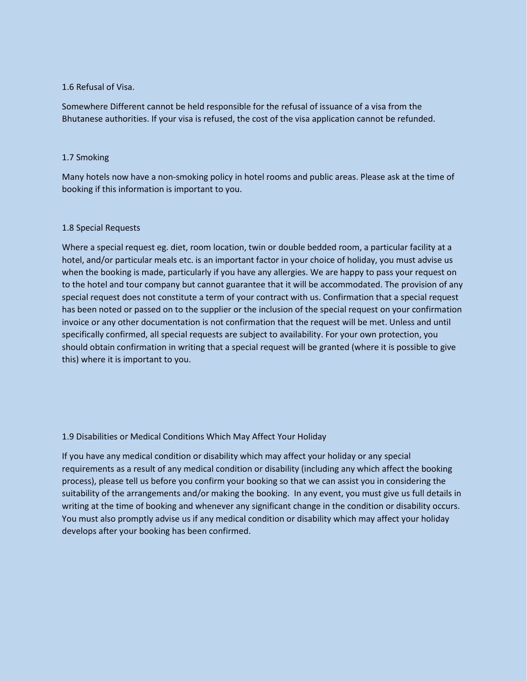# 1.6 Refusal of Visa.

Somewhere Different cannot be held responsible for the refusal of issuance of a visa from the Bhutanese authorities. If your visa is refused, the cost of the visa application cannot be refunded.

# 1.7 Smoking

Many hotels now have a non-smoking policy in hotel rooms and public areas. Please ask at the time of booking if this information is important to you.

# 1.8 Special Requests

Where a special request eg. diet, room location, twin or double bedded room, a particular facility at a hotel, and/or particular meals etc. is an important factor in your choice of holiday, you must advise us when the booking is made, particularly if you have any allergies. We are happy to pass your request on to the hotel and tour company but cannot guarantee that it will be accommodated. The provision of any special request does not constitute a term of your contract with us. Confirmation that a special request has been noted or passed on to the supplier or the inclusion of the special request on your confirmation invoice or any other documentation is not confirmation that the request will be met. Unless and until specifically confirmed, all special requests are subject to availability. For your own protection, you should obtain confirmation in writing that a special request will be granted (where it is possible to give this) where it is important to you.

# 1.9 Disabilities or Medical Conditions Which May Affect Your Holiday

If you have any medical condition or disability which may affect your holiday or any special requirements as a result of any medical condition or disability (including any which affect the booking process), please tell us before you confirm your booking so that we can assist you in considering the suitability of the arrangements and/or making the booking. In any event, you must give us full details in writing at the time of booking and whenever any significant change in the condition or disability occurs. You must also promptly advise us if any medical condition or disability which may affect your holiday develops after your booking has been confirmed.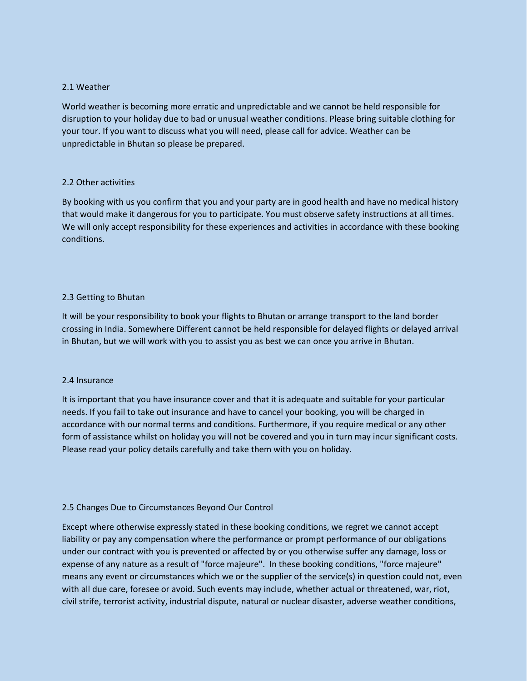### 2.1 Weather

World weather is becoming more erratic and unpredictable and we cannot be held responsible for disruption to your holiday due to bad or unusual weather conditions. Please bring suitable clothing for your tour. If you want to discuss what you will need, please call for advice. Weather can be unpredictable in Bhutan so please be prepared.

#### 2.2 Other activities

By booking with us you confirm that you and your party are in good health and have no medical history that would make it dangerous for you to participate. You must observe safety instructions at all times. We will only accept responsibility for these experiences and activities in accordance with these booking conditions.

# 2.3 Getting to Bhutan

It will be your responsibility to book your flights to Bhutan or arrange transport to the land border crossing in India. Somewhere Different cannot be held responsible for delayed flights or delayed arrival in Bhutan, but we will work with you to assist you as best we can once you arrive in Bhutan.

#### 2.4 Insurance

It is important that you have insurance cover and that it is adequate and suitable for your particular needs. If you fail to take out insurance and have to cancel your booking, you will be charged in accordance with our normal terms and conditions. Furthermore, if you require medical or any other form of assistance whilst on holiday you will not be covered and you in turn may incur significant costs. Please read your policy details carefully and take them with you on holiday.

# 2.5 Changes Due to Circumstances Beyond Our Control

Except where otherwise expressly stated in these booking conditions, we regret we cannot accept liability or pay any compensation where the performance or prompt performance of our obligations under our contract with you is prevented or affected by or you otherwise suffer any damage, loss or expense of any nature as a result of "force majeure". In these booking conditions, "force majeure" means any event or circumstances which we or the supplier of the service(s) in question could not, even with all due care, foresee or avoid. Such events may include, whether actual or threatened, war, riot, civil strife, terrorist activity, industrial dispute, natural or nuclear disaster, adverse weather conditions,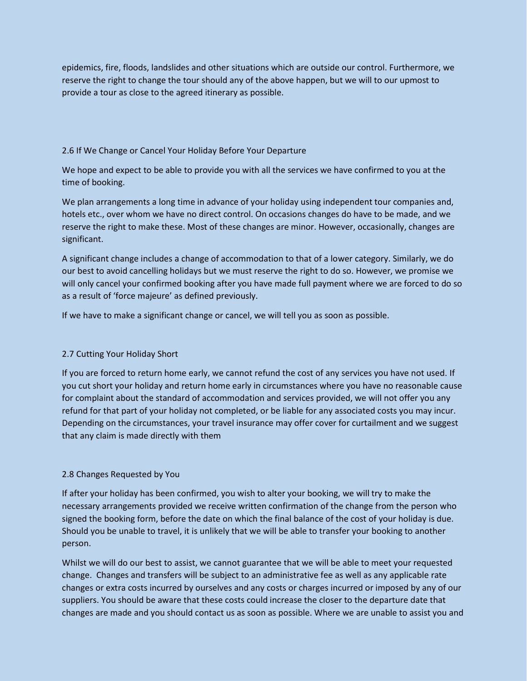epidemics, fire, floods, landslides and other situations which are outside our control. Furthermore, we reserve the right to change the tour should any of the above happen, but we will to our upmost to provide a tour as close to the agreed itinerary as possible.

# 2.6 If We Change or Cancel Your Holiday Before Your Departure

We hope and expect to be able to provide you with all the services we have confirmed to you at the time of booking.

We plan arrangements a long time in advance of your holiday using independent tour companies and, hotels etc., over whom we have no direct control. On occasions changes do have to be made, and we reserve the right to make these. Most of these changes are minor. However, occasionally, changes are significant.

A significant change includes a change of accommodation to that of a lower category. Similarly, we do our best to avoid cancelling holidays but we must reserve the right to do so. However, we promise we will only cancel your confirmed booking after you have made full payment where we are forced to do so as a result of 'force majeure' as defined previously.

If we have to make a significant change or cancel, we will tell you as soon as possible.

# 2.7 Cutting Your Holiday Short

If you are forced to return home early, we cannot refund the cost of any services you have not used. If you cut short your holiday and return home early in circumstances where you have no reasonable cause for complaint about the standard of accommodation and services provided, we will not offer you any refund for that part of your holiday not completed, or be liable for any associated costs you may incur. Depending on the circumstances, your travel insurance may offer cover for curtailment and we suggest that any claim is made directly with them

# 2.8 Changes Requested by You

If after your holiday has been confirmed, you wish to alter your booking, we will try to make the necessary arrangements provided we receive written confirmation of the change from the person who signed the booking form, before the date on which the final balance of the cost of your holiday is due. Should you be unable to travel, it is unlikely that we will be able to transfer your booking to another person.

Whilst we will do our best to assist, we cannot guarantee that we will be able to meet your requested change. Changes and transfers will be subject to an administrative fee as well as any applicable rate changes or extra costs incurred by ourselves and any costs or charges incurred or imposed by any of our suppliers. You should be aware that these costs could increase the closer to the departure date that changes are made and you should contact us as soon as possible. Where we are unable to assist you and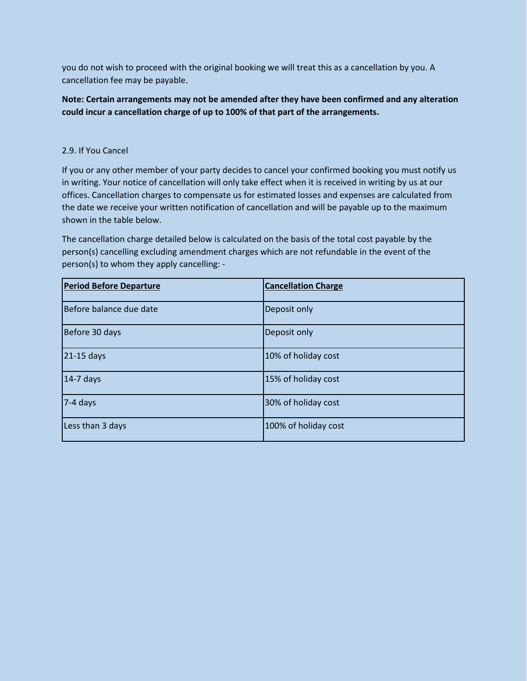you do not wish to proceed with the original booking we will treat this as a cancellation by you. A cancellation fee may be payable.

# **Note: Certain arrangements may not be amended after they have been confirmed and any alteration could incur a cancellation charge of up to 100% of that part of the arrangements.**

# 2.9. If You Cancel

If you or any other member of your party decides to cancel your confirmed booking you must notify us in writing. Your notice of cancellation will only take effect when it is received in writing by us at our offices. Cancellation charges to compensate us for estimated losses and expenses are calculated from the date we receive your written notification of cancellation and will be payable up to the maximum shown in the table below.

The cancellation charge detailed below is calculated on the basis of the total cost payable by the person(s) cancelling excluding amendment charges which are not refundable in the event of the person(s) to whom they apply cancelling: -

| <b>Period Before Departure</b> | <b>Cancellation Charge</b> |
|--------------------------------|----------------------------|
| Before balance due date        | Deposit only               |
| Before 30 days                 | Deposit only               |
| 21-15 days                     | 10% of holiday cost        |
| $14-7$ days                    | 15% of holiday cost        |
| $7-4$ days                     | 30% of holiday cost        |
| Less than 3 days               | 100% of holiday cost       |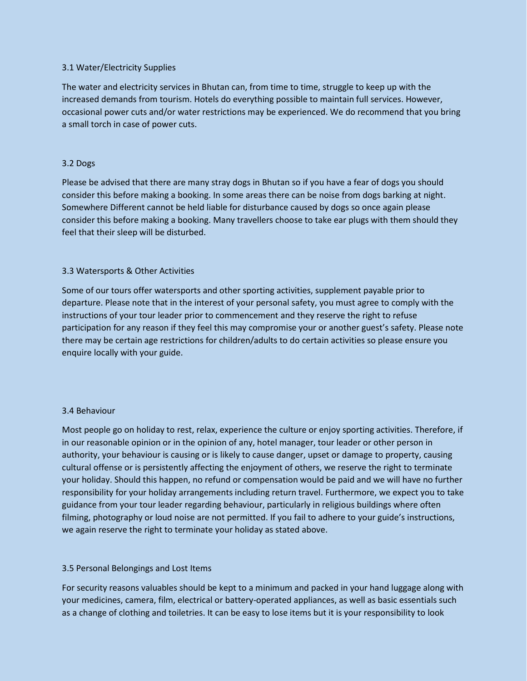#### 3.1 Water/Electricity Supplies

The water and electricity services in Bhutan can, from time to time, struggle to keep up with the increased demands from tourism. Hotels do everything possible to maintain full services. However, occasional power cuts and/or water restrictions may be experienced. We do recommend that you bring a small torch in case of power cuts.

### 3.2 Dogs

Please be advised that there are many stray dogs in Bhutan so if you have a fear of dogs you should consider this before making a booking. In some areas there can be noise from dogs barking at night. Somewhere Different cannot be held liable for disturbance caused by dogs so once again please consider this before making a booking. Many travellers choose to take ear plugs with them should they feel that their sleep will be disturbed.

# 3.3 Watersports & Other Activities

Some of our tours offer watersports and other sporting activities, supplement payable prior to departure. Please note that in the interest of your personal safety, you must agree to comply with the instructions of your tour leader prior to commencement and they reserve the right to refuse participation for any reason if they feel this may compromise your or another guest's safety. Please note there may be certain age restrictions for children/adults to do certain activities so please ensure you enquire locally with your guide.

#### 3.4 Behaviour

Most people go on holiday to rest, relax, experience the culture or enjoy sporting activities. Therefore, if in our reasonable opinion or in the opinion of any, hotel manager, tour leader or other person in authority, your behaviour is causing or is likely to cause danger, upset or damage to property, causing cultural offense or is persistently affecting the enjoyment of others, we reserve the right to terminate your holiday. Should this happen, no refund or compensation would be paid and we will have no further responsibility for your holiday arrangements including return travel. Furthermore, we expect you to take guidance from your tour leader regarding behaviour, particularly in religious buildings where often filming, photography or loud noise are not permitted. If you fail to adhere to your guide's instructions, we again reserve the right to terminate your holiday as stated above.

#### 3.5 Personal Belongings and Lost Items

For security reasons valuables should be kept to a minimum and packed in your hand luggage along with your medicines, camera, film, electrical or battery-operated appliances, as well as basic essentials such as a change of clothing and toiletries. It can be easy to lose items but it is your responsibility to look